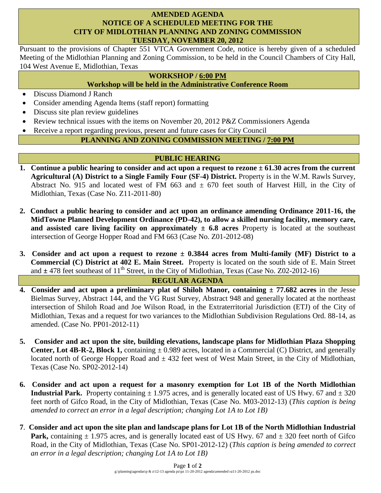### **AMENDED AGENDA NOTICE OF A SCHEDULED MEETING FOR THE CITY OF MIDLOTHIAN PLANNING AND ZONING COMMISSION TUESDAY, NOVEMBER 20, 2012**

Pursuant to the provisions of Chapter 551 VTCA Government Code, notice is hereby given of a scheduled Meeting of the Midlothian Planning and Zoning Commission, to be held in the Council Chambers of City Hall, 104 West Avenue E, Midlothian, Texas

### **WORKSHOP / 6:00 PM**

# **Workshop will be held in the Administrative Conference Room**

- Discuss Diamond J Ranch
- Consider amending Agenda Items (staff report) formatting
- Discuss site plan review guidelines
- Review technical issues with the items on November 20, 2012 P&Z Commissioners Agenda
- Receive a report regarding previous, present and future cases for City Council

# **PLANNING AND ZONING COMMISSION MEETING / 7:00 PM**

# **PUBLIC HEARING**

- **1. Continue a public hearing to consider and act upon a request to rezone ± 61.30 acres from the current Agricultural (A) District to a Single Family Four (SF-4) District.** Property is in the W.M. Rawls Survey, Abstract No. 915 and located west of FM 663 and  $\pm$  670 feet south of Harvest Hill, in the City of Midlothian, Texas (Case No. Z11-2011-80)
- **2. Conduct a public hearing to consider and act upon an ordinance amending Ordinance 2011-16, the MidTowne Planned Development Ordinance (PD-42), to allow a skilled nursing facility, memory care, and assisted care living facility on approximately ± 6.8 acres** Property is located at the southeast intersection of George Hopper Road and FM 663 (Case No. Z01-2012-08)
- **3. Consider and act upon a request to rezone ± 0.3844 acres from Multi-family (MF) District to a Commercial (C) District at 402 E. Main Street.** Property is located on the south side of E. Main Street and  $\pm$  478 feet southeast of 11<sup>th</sup> Street, in the City of Midlothian, Texas (Case No. Z02-2012-16)

# **REGULAR AGENDA**

- **4. Consider and act upon a preliminary plat of Shiloh Manor, containing ± 77.682 acres** in the Jesse Bielmas Survey, Abstract 144, and the VG Rust Survey, Abstract 948 and generally located at the northeast intersection of Shiloh Road and Joe Wilson Road, in the Extraterritorial Jurisdiction (ETJ) of the City of Midlothian, Texas and a request for two variances to the Midlothian Subdivision Regulations Ord. 88-14, as amended. (Case No. PP01-2012-11)
- **5. Consider and act upon the site, building elevations, landscape plans for Midlothian Plaza Shopping Center, Lot 4B-R-2, Block 1,** containing  $\pm$  0.989 acres, located in a Commercial (C) District, and generally located north of George Hopper Road and  $\pm$  432 feet west of West Main Street, in the City of Midlothian, Texas (Case No. SP02-2012-14)
- **6. Consider and act upon a request for a masonry exemption for Lot 1B of the North Midlothian Industrial Park.** Property containing  $\pm$  1.975 acres, and is generally located east of US Hwy. 67 and  $\pm$  320 feet north of Gifco Road, in the City of Midlothian, Texas (Case No. M03-2012-13) (*This caption is being amended to correct an error in a legal description; changing Lot 1A to Lot 1B)*
- **7**. **Consider and act upon the site plan and landscape plans for Lot 1B of the North Midlothian Industrial Park,** containing  $\pm$  1.975 acres, and is generally located east of US Hwy. 67 and  $\pm$  320 feet north of Gifco Road, in the City of Midlothian, Texas (Case No. SP01-2012-12) (*This caption is being amended to correct an error in a legal description; changing Lot 1A to Lot 1B)*